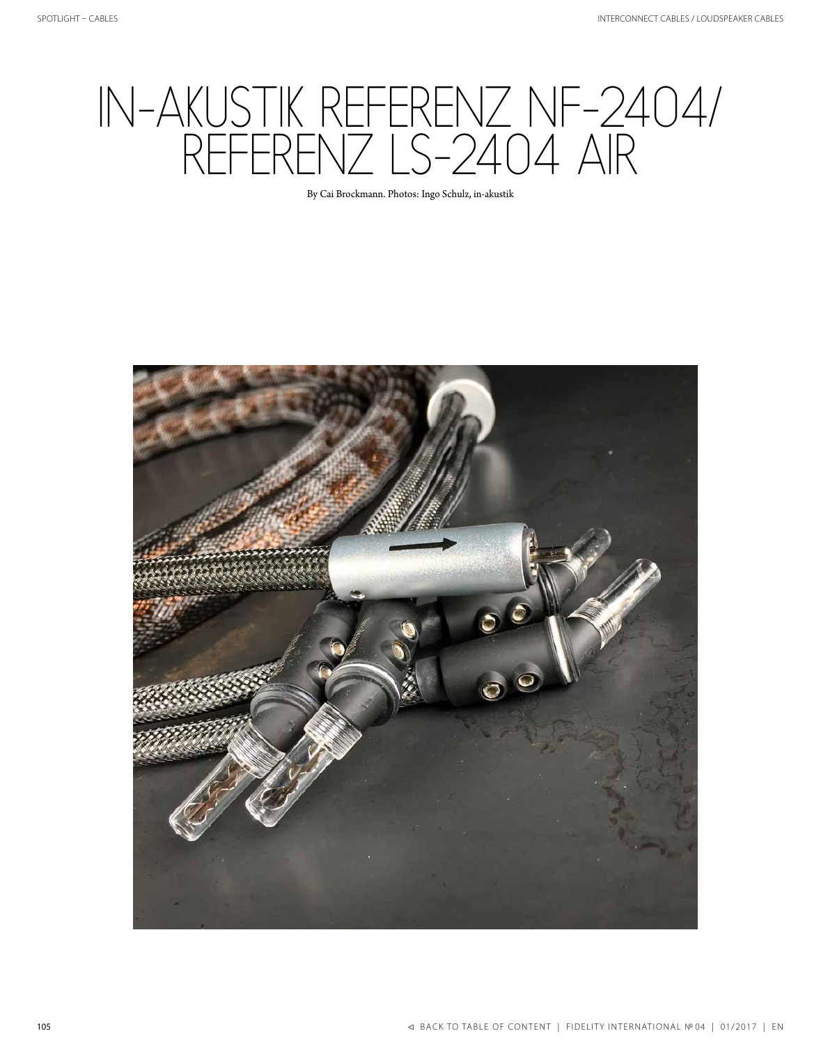## IN-AKUSTIK REFERENZ NF-2404/ REFERENZ LS-2404 AIR

By Cai Brockmann. Photos: Ingo Schulz, in-akustik

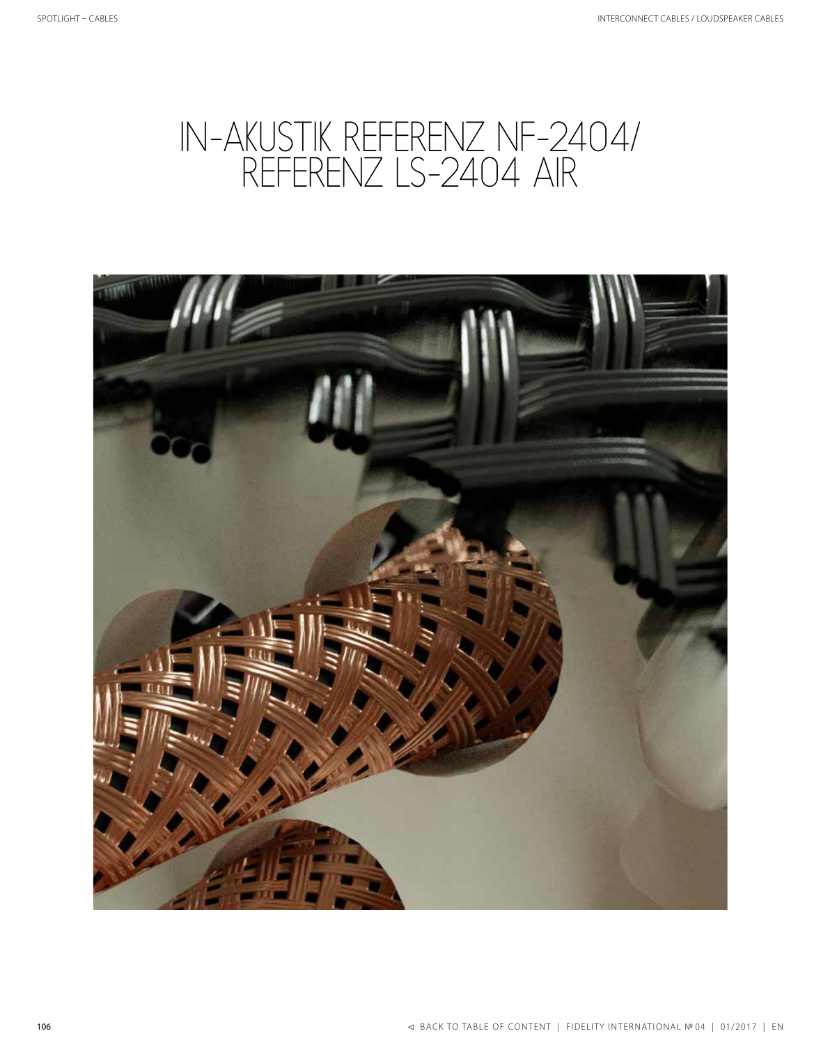## IN-AKUSTIK REFERENZ NF-2404/ REFERENZ LS-2404 AIR

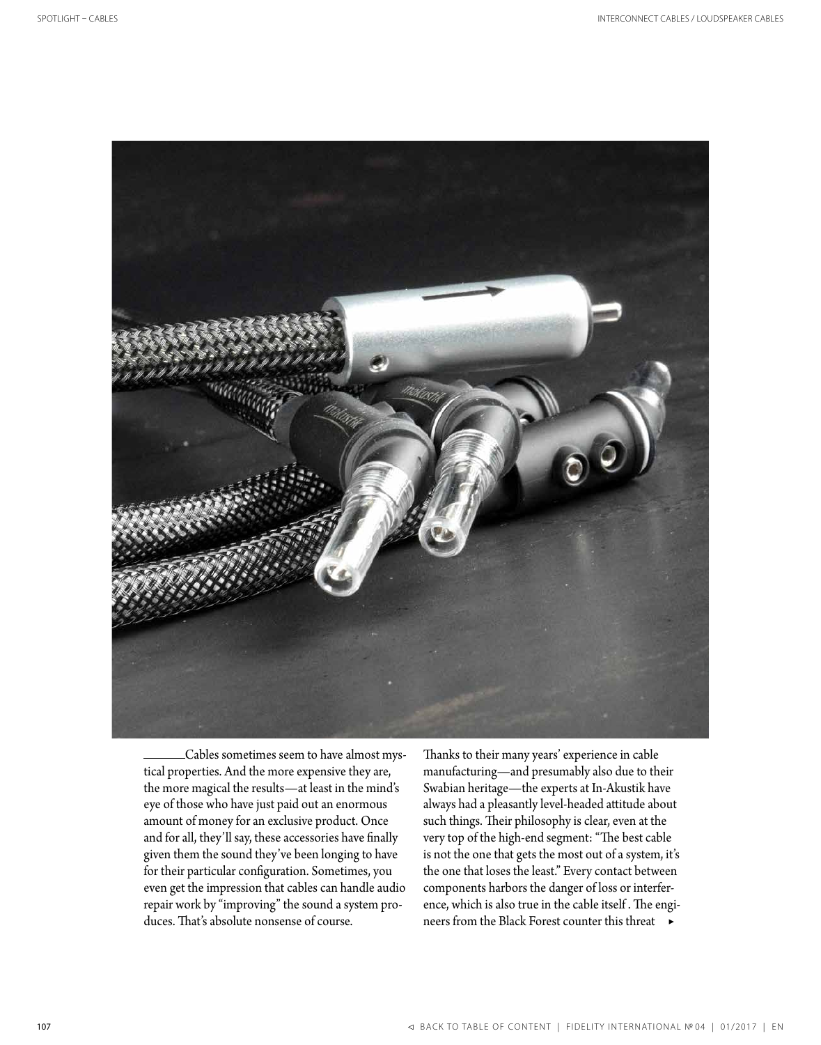

 Cables sometimes seem to have almost mystical properties. And the more expensive they are, the more magical the results—at least in the mind's eye of those who have just paid out an enormous amount of money for an exclusive product. Once and for all, they'll say, these accessories have finally given them the sound they've been longing to have for their particular configuration. Sometimes, you even get the impression that cables can handle audio repair work by "improving" the sound a system produces. That's absolute nonsense of course.

Thanks to their many years' experience in cable manufacturing—and presumably also due to their Swabian heritage—the experts at In-Akustik have always had a pleasantly level-headed attitude about such things. Their philosophy is clear, even at the very top of the high-end segment: "The best cable is not the one that gets the most out of a system, it's the one that loses the least." Every contact between components harbors the danger of loss or interference, which is also true in the cable itself . The engineers from the Black Forest counter this threat ▶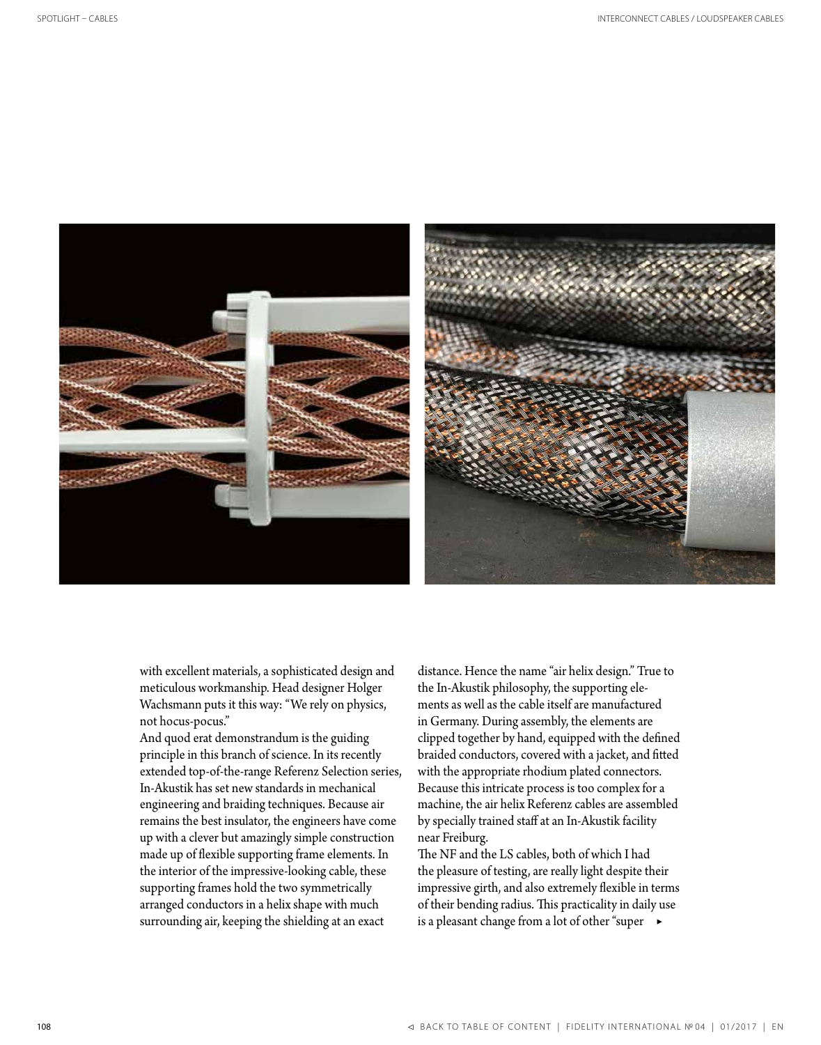

with excellent materials, a sophisticated design and meticulous workmanship. Head designer Holger Wachsmann puts it this way: "We rely on physics, not hocus-pocus."

And quod erat demonstrandum is the guiding principle in this branch of science. In its recently extended top-of-the-range Referenz Selection series, In-Akustik has set new standards in mechanical engineering and braiding techniques. Because air remains the best insulator, the engineers have come up with a clever but amazingly simple construction made up of flexible supporting frame elements. In the interior of the impressive-looking cable, these supporting frames hold the two symmetrically arranged conductors in a helix shape with much surrounding air, keeping the shielding at an exact

distance. Hence the name "air helix design." True to the In-Akustik philosophy, the supporting elements as well as the cable itself are manufactured in Germany. During assembly, the elements are clipped together by hand, equipped with the defined braided conductors, covered with a jacket, and fitted with the appropriate rhodium plated connectors. Because this intricate process is too complex for a machine, the air helix Referenz cables are assembled by specially trained staff at an In-Akustik facility near Freiburg.

The NF and the LS cables, both of which I had the pleasure of testing, are really light despite their impressive girth, and also extremely flexible in terms of their bending radius. This practicality in daily use is a pleasant change from a lot of other "super  $\rightarrow$